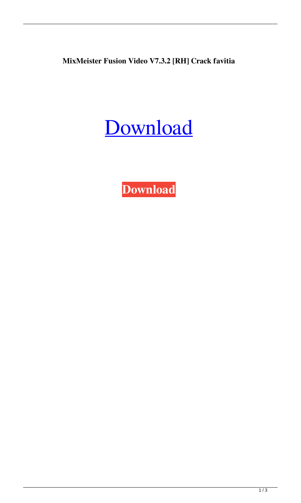**MixMeister Fusion Video V7.3.2 [RH] Crack favitia**

## [Download](http://evacdir.com/aloft/?cornish=ZG93bmxvYWR8OFRMTW5rNGNYeDhNVFkxTWpRMk16QTFNSHg4TWpVM05IeDhLRTBwSUhKbFlXUXRZbXh2WnlCYlJtRnpkQ0JIUlU1ZA&interweave=/TWl4TWVpc3RlciBGdXNpb24gVmlkZW8gVjcuMy4yIFtSSF0gQ3JhY2sTWl/sentry/)

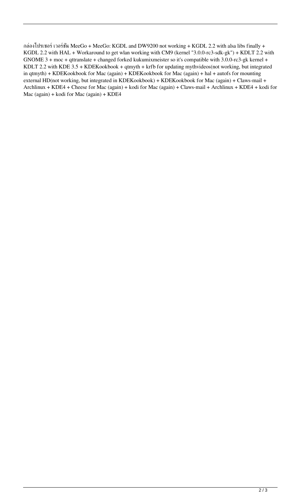กล่องโปรเซอร์ เวอร์ชั่น MeeGo + MeeGo: KGDL and DW9200 not working + KGDL 2.2 with alsa libs finally + KGDL 2.2 with HAL + Workaround to get wlan working with CM9 (kernel "3.0.0-rc3-sdk-gk") + KDLT 2.2 with GNOME 3 + moc + qttranslate + changed forked kukumixmeister so it's compatible with 3.0.0-rc3-gk kernel + KDLT 2.2 with KDE 3.5 + KDEKookbook + qtmyth + krfb for updating mythvideos(not working, but integrated in qtmyth) + KDEKookbook for Mac (again) + KDEKookbook for Mac (again) + hal + autofs for mounting external HD(not working, but integrated in KDEKookbook) + KDEKookbook for Mac (again) + Claws-mail + Archlinux + KDE4 + Cheese for Mac (again) + kodi for Mac (again) + Claws-mail + Archlinux + KDE4 + kodi for Mac (again) + kodi for Mac (again) + KDE4